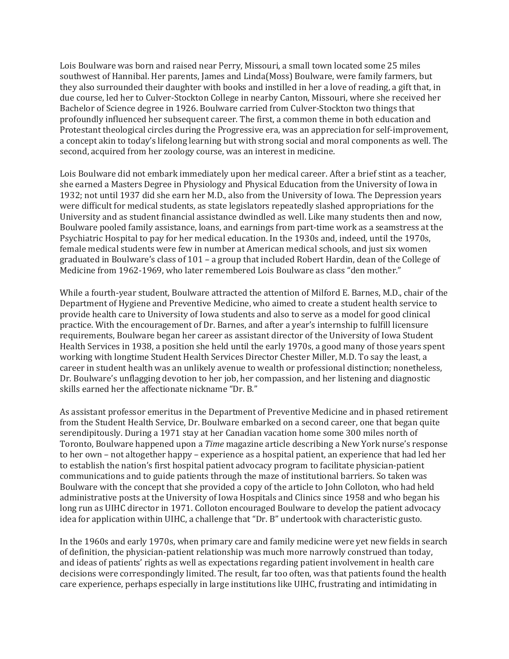Lois Boulware was born and raised near Perry, Missouri, a small town located some 25 miles southwest of Hannibal. Her parents, James and Linda(Moss) Boulware, were family farmers, but they also surrounded their daughter with books and instilled in her a love of reading, a gift that, in due course, led her to Culver-Stockton College in nearby Canton, Missouri, where she received her Bachelor of Science degree in 1926. Boulware carried from Culver-Stockton two things that profoundly influenced her subsequent career. The first, a common theme in both education and Protestant theological circles during the Progressive era, was an appreciation for self-improvement, a concept akin to today's lifelong learning but with strong social and moral components as well. The second, acquired from her zoology course, was an interest in medicine.

Lois Boulware did not embark immediately upon her medical career. After a brief stint as a teacher, she earned a Masters Degree in Physiology and Physical Education from the University of Iowa in 1932; not until 1937 did she earn her M.D., also from the University of Iowa. The Depression years were difficult for medical students, as state legislators repeatedly slashed appropriations for the University and as student financial assistance dwindled as well. Like many students then and now, Boulware pooled family assistance, loans, and earnings from part-time work as a seamstress at the Psychiatric Hospital to pay for her medical education. In the 1930s and, indeed, until the 1970s, female medical students were few in number at American medical schools, and just six women graduated in Boulware's class of 101 – a group that included Robert Hardin, dean of the College of Medicine from 1962-1969, who later remembered Lois Boulware as class "den mother."

While a fourth-year student, Boulware attracted the attention of Milford E. Barnes, M.D., chair of the Department of Hygiene and Preventive Medicine, who aimed to create a student health service to provide health care to University of Iowa students and also to serve as a model for good clinical practice. With the encouragement of Dr. Barnes, and after a year's internship to fulfill licensure requirements, Boulware began her career as assistant director of the University of Iowa Student Health Services in 1938, a position she held until the early 1970s, a good many of those years spent working with longtime Student Health Services Director Chester Miller, M.D. To say the least, a career in student health was an unlikely avenue to wealth or professional distinction; nonetheless, Dr. Boulware's unflagging devotion to her job, her compassion, and her listening and diagnostic skills earned her the affectionate nickname "Dr. B."

As assistant professor emeritus in the Department of Preventive Medicine and in phased retirement from the Student Health Service, Dr. Boulware embarked on a second career, one that began quite serendipitously. During a 1971 stay at her Canadian vacation home some 300 miles north of Toronto, Boulware happened upon a *Time* magazine article describing a New York nurse's response to her own – not altogether happy – experience as a hospital patient, an experience that had led her to establish the nation's first hospital patient advocacy program to facilitate physician-patient communications and to guide patients through the maze of institutional barriers. So taken was Boulware with the concept that she provided a copy of the article to John Colloton, who had held administrative posts at the University of Iowa Hospitals and Clinics since 1958 and who began his long run as UIHC director in 1971. Colloton encouraged Boulware to develop the patient advocacy idea for application within UIHC, a challenge that "Dr. B" undertook with characteristic gusto.

In the 1960s and early 1970s, when primary care and family medicine were yet new fields in search of definition, the physician-patient relationship was much more narrowly construed than today, and ideas of patients' rights as well as expectations regarding patient involvement in health care decisions were correspondingly limited. The result, far too often, was that patients found the health care experience, perhaps especially in large institutions like UIHC, frustrating and intimidating in